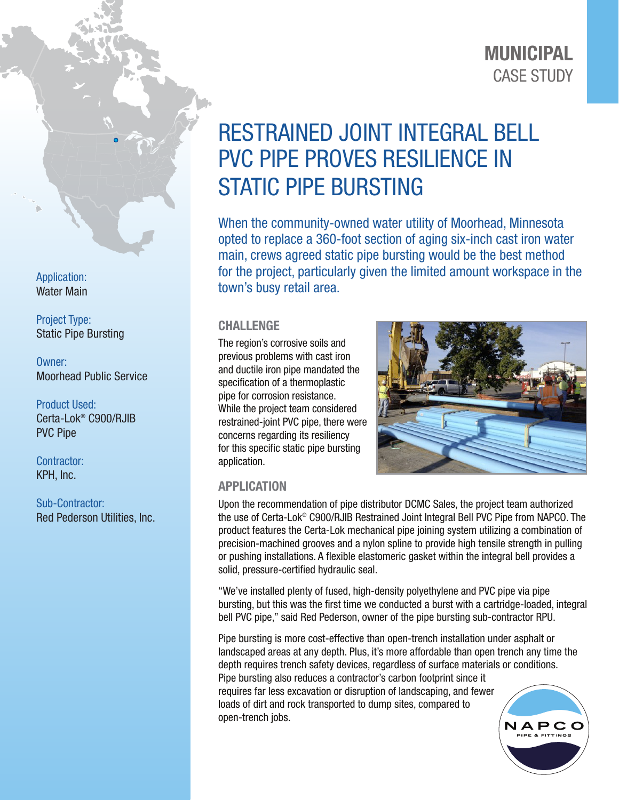## CASE STUDY MUNICIPAL

# RESTRAINED JOINT INTEGRAL BELL PVC PIPE PROVES RESILIENCE IN STATIC PIPE BURSTING

When the community-owned water utility of Moorhead, Minnesota opted to replace a 360-foot section of aging six-inch cast iron water main, crews agreed static pipe bursting would be the best method for the project, particularly given the limited amount workspace in the town's busy retail area.

#### CHALLENGE

The region's corrosive soils and previous problems with cast iron and ductile iron pipe mandated the specification of a thermoplastic pipe for corrosion resistance. While the project team considered restrained-joint PVC pipe, there were concerns regarding its resiliency for this specific static pipe bursting application.



### APPLICATION

Upon the recommendation of pipe distributor DCMC Sales, the project team authorized the use of Certa-Lok® C900/RJIB Restrained Joint Integral Bell PVC Pipe from NAPCO. The product features the Certa-Lok mechanical pipe joining system utilizing a combination of precision-machined grooves and a nylon spline to provide high tensile strength in pulling or pushing installations. A flexible elastomeric gasket within the integral bell provides a solid, pressure-certified hydraulic seal.

"We've installed plenty of fused, high-density polyethylene and PVC pipe via pipe bursting, but this was the first time we conducted a burst with a cartridge-loaded, integral bell PVC pipe," said Red Pederson, owner of the pipe bursting sub-contractor RPU.

Pipe bursting is more cost-effective than open-trench installation under asphalt or landscaped areas at any depth. Plus, it's more affordable than open trench any time the depth requires trench safety devices, regardless of surface materials or conditions. Pipe bursting also reduces a contractor's carbon footprint since it requires far less excavation or disruption of landscaping, and fewer loads of dirt and rock transported to dump sites, compared to open-trench jobs.



Application: Water Main

Project Type: Static Pipe Bursting

Owner: Moorhead Public Service

Product Used: Certa-Lok® C900/RJIB PVC Pipe

Contractor: KPH, Inc.

Sub-Contractor: Red Pederson Utilities, Inc.